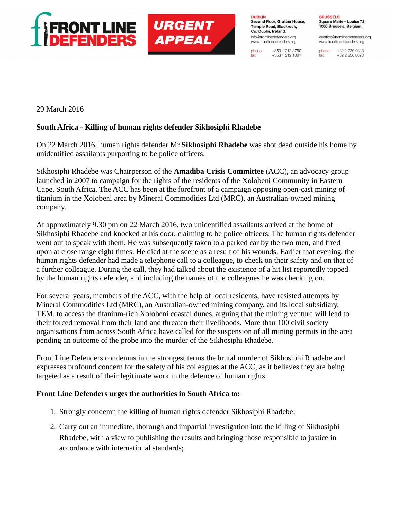



**DUBLIN** Second Floor, Grattan House, Temple Road, Blackrock. Co. Dublin, Ireland. info@frontlinedefenders.org www.frontlinedefenders.org

+353 1 212 3750 phone  $+353$  1 212 1001 fax

**BRUSSELS** Square Marie - Louise 72 1000 Brussels, Belgium.

euoffice@frontlinedefenders.org www.frontlinedefenders.org

+32 2 230 9383 phone +32 2 230 0028 fax

29 March 2016

## **South Africa - Killing of human rights defender Sikhosiphi Rhadebe**

On 22 March 2016, human rights defender Mr **Sikhosiphi Rhadebe** was shot dead outside his home by unidentified assailants purporting to be police officers.

Sikhosiphi Rhadebe was Chairperson of the **Amadiba Crisis Committee** (ACC), an advocacy group launched in 2007 to campaign for the rights of the residents of the Xolobeni Community in Eastern Cape, South Africa. The ACC has been at the forefront of a campaign opposing open-cast mining of titanium in the Xolobeni area by Mineral Commodities Ltd (MRC), an Australian-owned mining company.

At approximately 9.30 pm on 22 March 2016, two unidentified assailants arrived at the home of Sikhosiphi Rhadebe and knocked at his door, claiming to be police officers. The human rights defender went out to speak with them. He was subsequently taken to a parked car by the two men, and fired upon at close range eight times. He died at the scene as a result of his wounds. Earlier that evening, the human rights defender had made a telephone call to a colleague, to check on their safety and on that of a further colleague. During the call, they had talked about the existence of a hit list reportedly topped by the human rights defender, and including the names of the colleagues he was checking on.

For several years, members of the ACC, with the help of local residents, have resisted attempts by Mineral Commodities Ltd (MRC), an Australian-owned mining company, and its local subsidiary, TEM, to access the titanium-rich Xolobeni coastal dunes, arguing that the mining venture will lead to their forced removal from their land and threaten their livelihoods. More than 100 civil society organisations from across South Africa have called for the suspension of all mining permits in the area pending an outcome of the probe into the murder of the Sikhosiphi Rhadebe.

Front Line Defenders condemns in the strongest terms the brutal murder of Sikhosiphi Rhadebe and expresses profound concern for the safety of his colleagues at the ACC, as it believes they are being targeted as a result of their legitimate work in the defence of human rights.

## **Front Line Defenders urges the authorities in South Africa to:**

- 1. Strongly condemn the killing of human rights defender Sikhosiphi Rhadebe;
- 2. Carry out an immediate, thorough and impartial investigation into the killing of Sikhosiphi Rhadebe, with a view to publishing the results and bringing those responsible to justice in accordance with international standards;